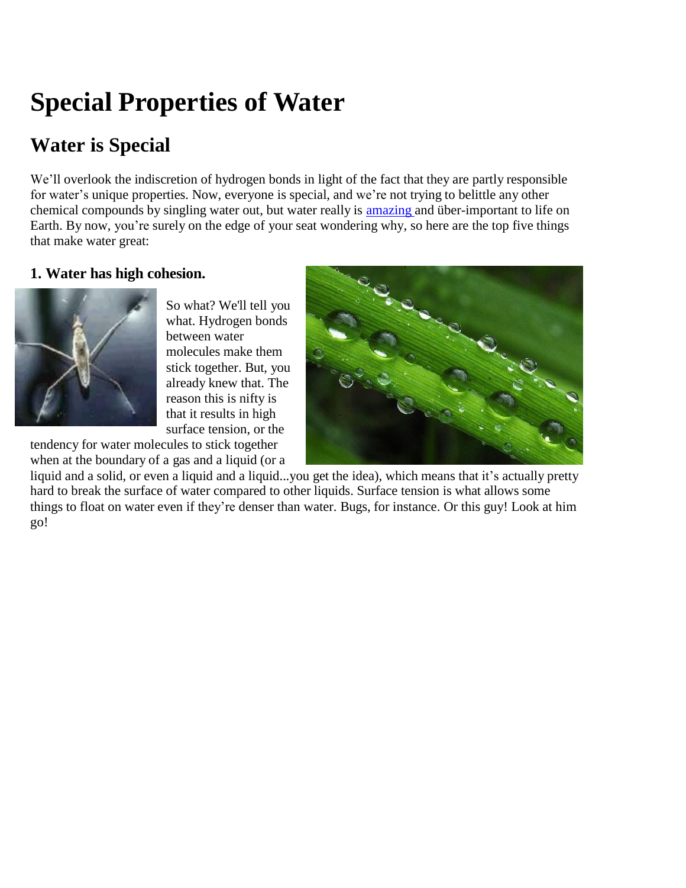# **Special Properties of Water**

# **Water is Special**

We'll overlook the indiscretion of hydrogen bonds in light of the fact that they are partly responsible for water's unique properties. Now, everyone is special, and we're not trying to belittle any other chemical compounds by singling water out, but water really is [amazing](http://youtu.be/Um0tEvQ5gVM) and über-important to life on Earth. By now, you're surely on the edge of your seat wondering why, so here are the top five things that make water great:

# **1. Water has high cohesion.**



So what? We'll tell you what. Hydrogen bonds between water molecules make them stick together. But, you already knew that. The reason this is nifty is that it results in high surface tension, or the tendency for water molecules to stick together



when at the boundary of a gas and a liquid (or a liquid and a solid, or even a liquid and a liquid...you get the idea), which means that it's actually pretty hard to break the surface of water compared to other liquids. Surface tension is what allows some things to float on water even if they're denser than water. Bugs, for instance. Or this guy! Look at him go!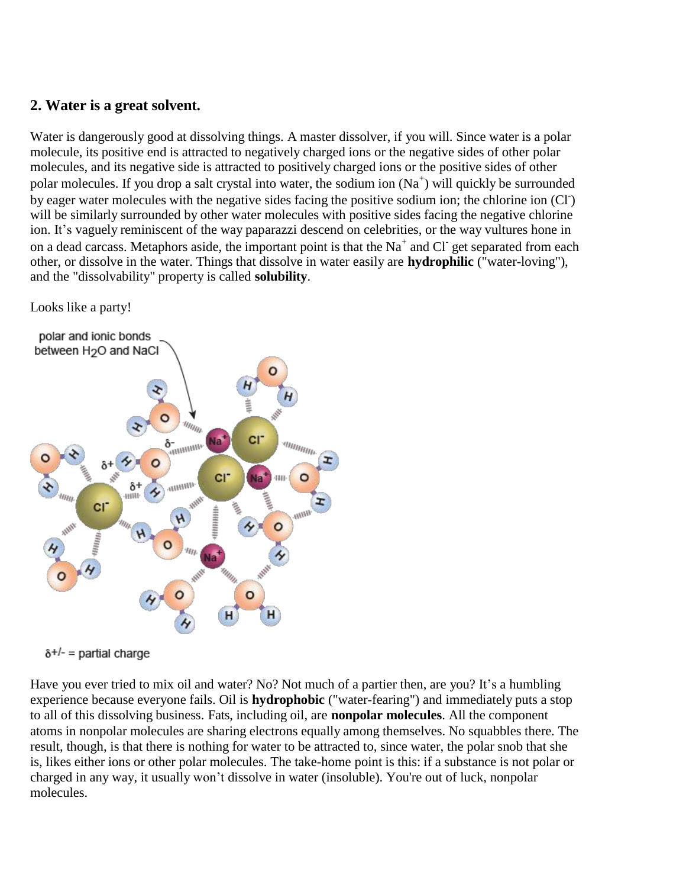#### **2. Water is a great solvent.**

Water is dangerously good at dissolving things. A master dissolver, if you will. Since water is a polar molecule, its positive end is attracted to negatively charged ions or the negative sides of other polar molecules, and its negative side is attracted to positively charged ions or the positive sides of other polar molecules. If you drop a salt crystal into water, the sodium ion  $(Na^+)$  will quickly be surrounded by eager water molecules with the negative sides facing the positive sodium ion; the chlorine ion (CI) will be similarly surrounded by other water molecules with positive sides facing the negative chlorine ion. It's vaguely reminiscent of the way paparazzi descend on celebrities, or the way vultures hone in on a dead carcass. Metaphors aside, the important point is that the Na<sup>+</sup> and Cl<sup>-</sup> get separated from each other, or dissolve in the water. Things that dissolve in water easily are **hydrophilic** ("water-loving"), and the "dissolvability" property is called **solubility**.

Looks like a party!





Have you ever tried to mix oil and water? No? Not much of a partier then, are you? It's a humbling experience because everyone fails. Oil is **hydrophobic** ("water-fearing") and immediately puts a stop to all of this dissolving business. Fats, including oil, are **nonpolar molecules**. All the component atoms in nonpolar molecules are sharing electrons equally among themselves. No squabbles there. The result, though, is that there is nothing for water to be attracted to, since water, the polar snob that she is, likes either ions or other polar molecules. The take-home point is this: if a substance is not polar or charged in any way, it usually won't dissolve in water (insoluble). You're out of luck, nonpolar molecules.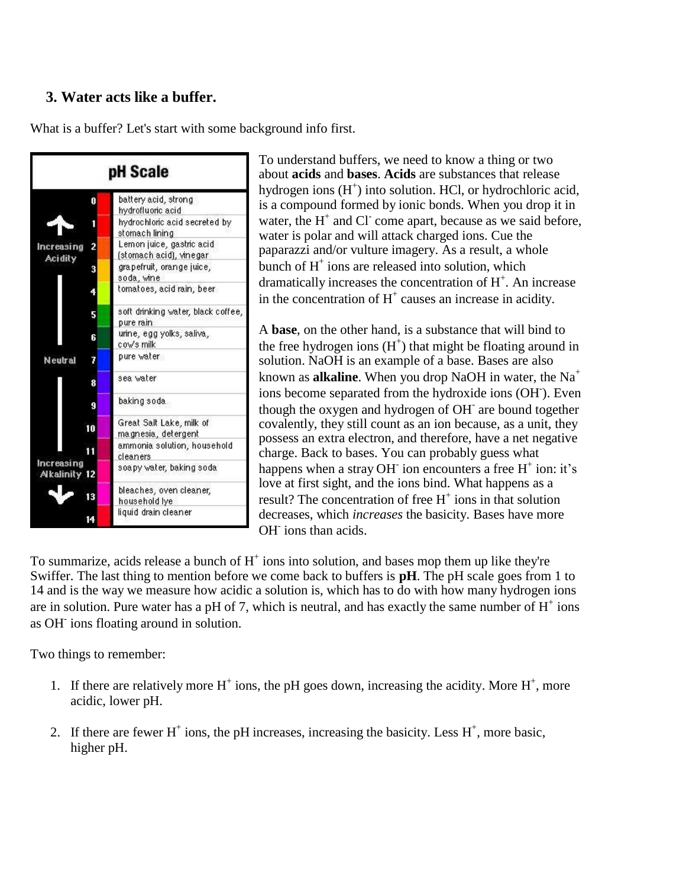# **3. Water acts like a buffer.**

What is a buffer? Let's start with some background info first.



To understand buffers, we need to know a thing or two about **acids** and **bases**. **Acids** are substances that release hydrogen ions  $(H<sup>+</sup>)$  into solution. HCl, or hydrochloric acid, is a compound formed by ionic bonds. When you drop it in water, the  $H^+$  and Cl<sup>-</sup> come apart, because as we said before, water is polar and will attack charged ions. Cue the paparazzi and/or vulture imagery. As a result, a whole bunch of  $H^+$  ions are released into solution, which dramatically increases the concentration of  $H^+$ . An increase in the concentration of  $H^+$  causes an increase in acidity.

A **base**, on the other hand, is a substance that will bind to the free hydrogen ions  $(H<sup>+</sup>)$  that might be floating around in solution. NaOH is an example of a base. Bases are also known as **alkaline**. When you drop NaOH in water, the Na<sup>+</sup> ions become separated from the hydroxide ions (OH). Even though the oxygen and hydrogen of OH<sup>-</sup> are bound together covalently, they still count as an ion because, as a unit, they possess an extra electron, and therefore, have a net negative charge. Back to bases. You can probably guess what happens when a stray OH ion encounters a free  $H^+$  ion: it's love at first sight, and the ions bind. What happens as a result? The concentration of free  $H^+$  ions in that solution decreases, which *increases* the basicity. Bases have more OH<sup>-</sup> ions than acids.

To summarize, acids release a bunch of  $H^+$  ions into solution, and bases mop them up like they're Swiffer. The last thing to mention before we come back to buffers is **pH**. The pH scale goes from 1 to 14 and is the way we measure how acidic a solution is, which has to do with how many hydrogen ions are in solution. Pure water has a pH of 7, which is neutral, and has exactly the same number of  $H^+$  ions as OH-ions floating around in solution.

Two things to remember:

- 1. If there are relatively more  $H^+$  ions, the pH goes down, increasing the acidity. More  $H^+$ , more acidic, lower pH.
- 2. If there are fewer  $H^+$  ions, the pH increases, increasing the basicity. Less  $H^+$ , more basic, higher pH.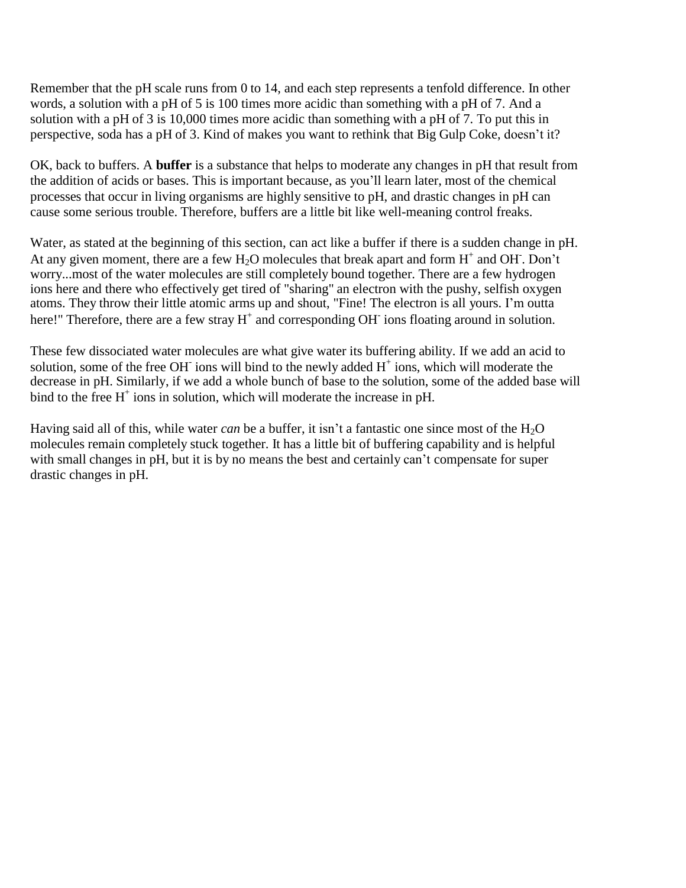Remember that the pH scale runs from 0 to 14, and each step represents a tenfold difference. In other words, a solution with a pH of 5 is 100 times more acidic than something with a pH of 7. And a solution with a pH of 3 is 10,000 times more acidic than something with a pH of 7. To put this in perspective, soda has a pH of 3. Kind of makes you want to rethink that Big Gulp Coke, doesn't it?

OK, back to buffers. A **buffer** is a substance that helps to moderate any changes in pH that result from the addition of acids or bases. This is important because, as you'll learn later, most of the chemical processes that occur in living organisms are highly sensitive to pH, and drastic changes in pH can cause some serious trouble. Therefore, buffers are a little bit like well-meaning control freaks.

Water, as stated at the beginning of this section, can act like a buffer if there is a sudden change in pH. At any given moment, there are a few  $H_2O$  molecules that break apart and form  $H^+$  and OH. Don't worry...most of the water molecules are still completely bound together. There are a few hydrogen ions here and there who effectively get tired of "sharing" an electron with the pushy, selfish oxygen atoms. They throw their little atomic arms up and shout, "Fine! The electron is all yours. I'm outta here!" Therefore, there are a few stray  $H^+$  and corresponding OH<sup>-</sup> ions floating around in solution.

These few dissociated water molecules are what give water its buffering ability. If we add an acid to solution, some of the free OH $\overline{\ }$  ions will bind to the newly added H $^+$  ions, which will moderate the decrease in pH. Similarly, if we add a whole bunch of base to the solution, some of the added base will bind to the free  $H^+$  ions in solution, which will moderate the increase in pH.

Having said all of this, while water *can* be a buffer, it isn't a fantastic one since most of the H<sub>2</sub>O molecules remain completely stuck together. It has a little bit of buffering capability and is helpful with small changes in pH, but it is by no means the best and certainly can't compensate for super drastic changes in pH.